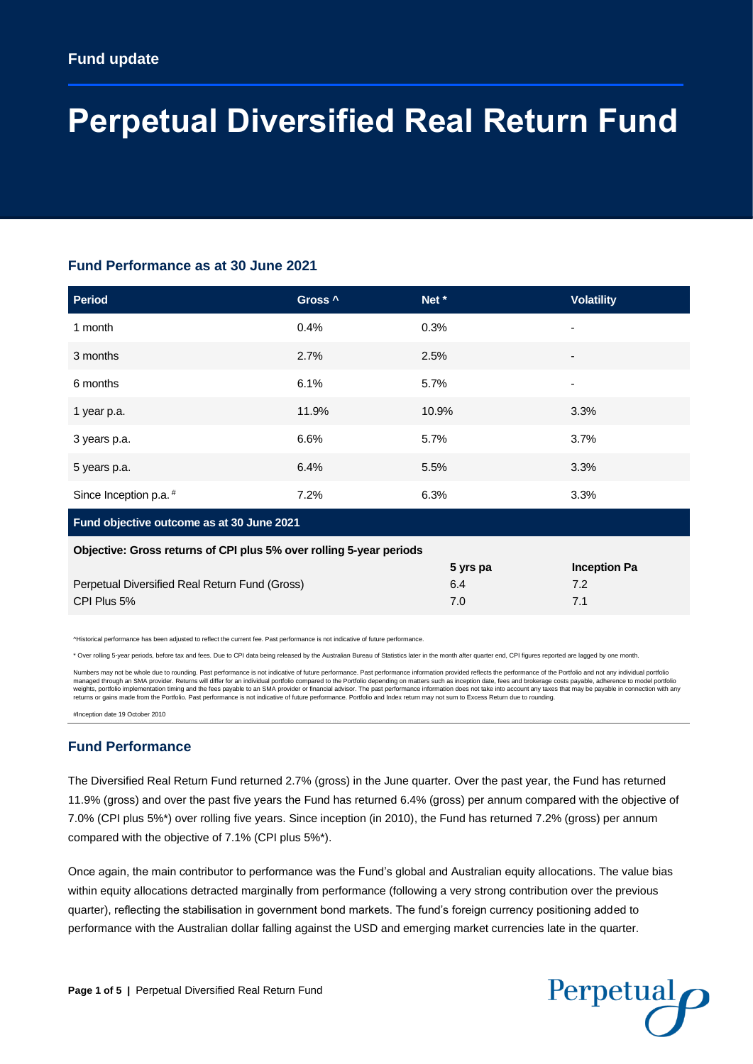# **Perpetual Diversified Real Return Fund**

## **Fund Performance as at 30 June 2021**

| <b>Period</b>                                                       | Gross <sup>^</sup> | Net*     | <b>Volatility</b>   |
|---------------------------------------------------------------------|--------------------|----------|---------------------|
| 1 month                                                             | 0.4%               | 0.3%     | $\overline{a}$      |
| 3 months                                                            | 2.7%               | 2.5%     |                     |
| 6 months                                                            | 6.1%               | 5.7%     | -                   |
| 1 year p.a.                                                         | 11.9%              | 10.9%    | 3.3%                |
| 3 years p.a.                                                        | 6.6%               | 5.7%     | 3.7%                |
| 5 years p.a.                                                        | 6.4%               | 5.5%     | 3.3%                |
| Since Inception p.a. <sup>#</sup>                                   | 7.2%               | 6.3%     | 3.3%                |
| Fund objective outcome as at 30 June 2021                           |                    |          |                     |
| Objective: Gross returns of CPI plus 5% over rolling 5-year periods |                    |          |                     |
|                                                                     |                    | 5 yrs pa | <b>Inception Pa</b> |
| Perpetual Diversified Real Return Fund (Gross)                      |                    | 6.4      | 7.2                 |
| CPI Plus 5%                                                         |                    | 7.0      | 7.1                 |
|                                                                     |                    |          |                     |

^Historical performance has been adjusted to reflect the current fee. Past performance is not indicative of future performance.

\* Over rolling 5-year periods, before tax and fees. Due to CPI data being released by the Australian Bureau of Statistics later in the month after quarter end, CPI figures reported are lagged by one month.

Numbers may not be whole due to rounding. Past performance is not indicative of future performance. Past performance information provided reflects the performance of the Portfolio and not any individual portfolio managed through an SMA provider. Returns will differ for an individual portfolio compared to the Portfolio depending on matters such as inception date, fees and brokerage costs payable, adherence to model portfolio weights, portfolio implementation timing and the fees payable to an SMA provider or financial advisor. The past performance information does not take into account any taxes that may be payable in connection with any returns or gains made from the Portfolio. Past performance is not indicative of future performance. Portfolio and Index return may not sum to Excess Return due to rounding.

#Inception date 19 October 2010

## **Fund Performance**

The Diversified Real Return Fund returned 2.7% (gross) in the June quarter. Over the past year, the Fund has returned 11.9% (gross) and over the past five years the Fund has returned 6.4% (gross) per annum compared with the objective of 7.0% (CPI plus 5%\*) over rolling five years. Since inception (in 2010), the Fund has returned 7.2% (gross) per annum compared with the objective of 7.1% (CPI plus 5%\*).

Once again, the main contributor to performance was the Fund's global and Australian equity allocations. The value bias within equity allocations detracted marginally from performance (following a very strong contribution over the previous quarter), reflecting the stabilisation in government bond markets. The fund's foreign currency positioning added to performance with the Australian dollar falling against the USD and emerging market currencies late in the quarter.

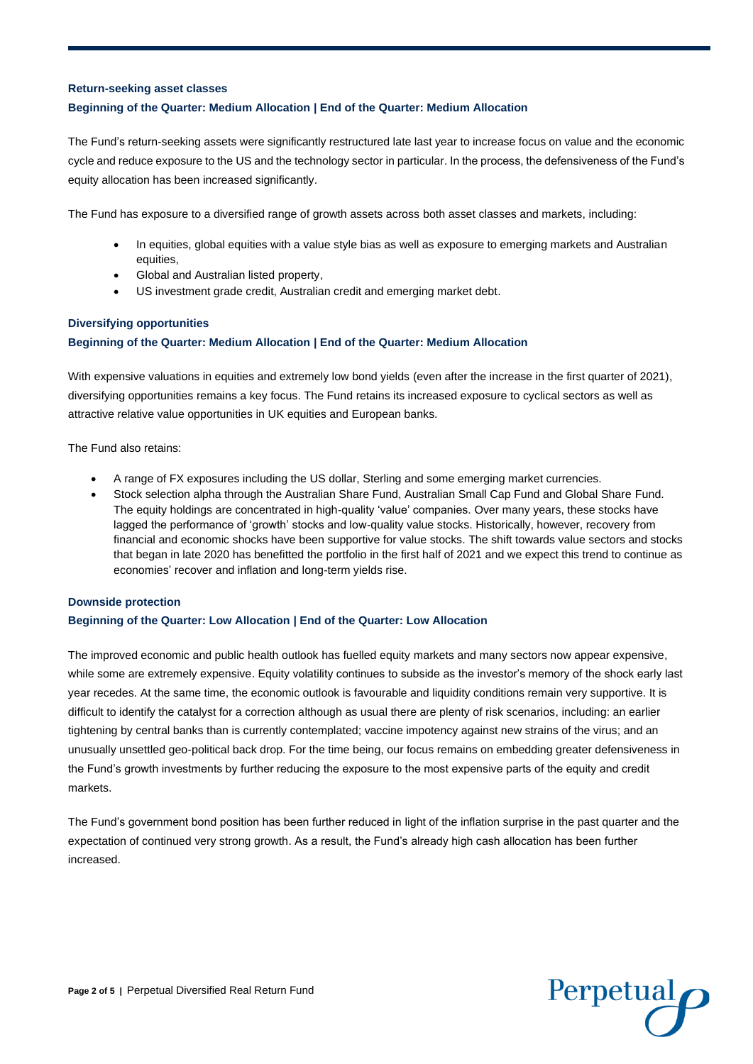#### **Return-seeking asset classes**

### **Beginning of the Quarter: Medium Allocation | End of the Quarter: Medium Allocation**

The Fund's return-seeking assets were significantly restructured late last year to increase focus on value and the economic cycle and reduce exposure to the US and the technology sector in particular. In the process, the defensiveness of the Fund's equity allocation has been increased significantly.

The Fund has exposure to a diversified range of growth assets across both asset classes and markets, including:

- In equities, global equities with a value style bias as well as exposure to emerging markets and Australian equities,
- Global and Australian listed property,
- US investment grade credit, Australian credit and emerging market debt.

#### **Diversifying opportunities**

#### **Beginning of the Quarter: Medium Allocation | End of the Quarter: Medium Allocation**

With expensive valuations in equities and extremely low bond yields (even after the increase in the first quarter of 2021), diversifying opportunities remains a key focus. The Fund retains its increased exposure to cyclical sectors as well as attractive relative value opportunities in UK equities and European banks.

The Fund also retains:

- A range of FX exposures including the US dollar, Sterling and some emerging market currencies.
- Stock selection alpha through the Australian Share Fund, Australian Small Cap Fund and Global Share Fund. The equity holdings are concentrated in high-quality 'value' companies. Over many years, these stocks have lagged the performance of 'growth' stocks and low-quality value stocks. Historically, however, recovery from financial and economic shocks have been supportive for value stocks. The shift towards value sectors and stocks that began in late 2020 has benefitted the portfolio in the first half of 2021 and we expect this trend to continue as economies' recover and inflation and long-term yields rise.

#### **Downside protection**

#### **Beginning of the Quarter: Low Allocation | End of the Quarter: Low Allocation**

The improved economic and public health outlook has fuelled equity markets and many sectors now appear expensive, while some are extremely expensive. Equity volatility continues to subside as the investor's memory of the shock early last year recedes. At the same time, the economic outlook is favourable and liquidity conditions remain very supportive. It is difficult to identify the catalyst for a correction although as usual there are plenty of risk scenarios, including: an earlier tightening by central banks than is currently contemplated; vaccine impotency against new strains of the virus; and an unusually unsettled geo-political back drop. For the time being, our focus remains on embedding greater defensiveness in the Fund's growth investments by further reducing the exposure to the most expensive parts of the equity and credit markets.

The Fund's government bond position has been further reduced in light of the inflation surprise in the past quarter and the expectation of continued very strong growth. As a result, the Fund's already high cash allocation has been further increased.

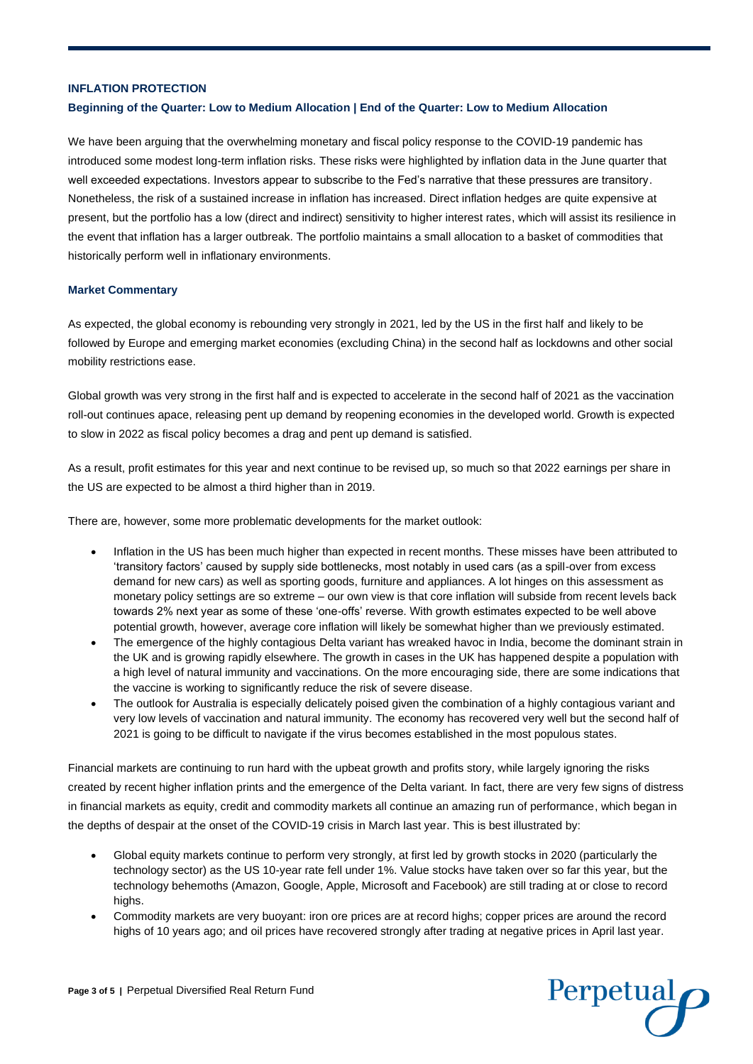#### **INFLATION PROTECTION**

#### **Beginning of the Quarter: Low to Medium Allocation | End of the Quarter: Low to Medium Allocation**

We have been arguing that the overwhelming monetary and fiscal policy response to the COVID-19 pandemic has introduced some modest long-term inflation risks. These risks were highlighted by inflation data in the June quarter that well exceeded expectations. Investors appear to subscribe to the Fed's narrative that these pressures are transitory. Nonetheless, the risk of a sustained increase in inflation has increased. Direct inflation hedges are quite expensive at present, but the portfolio has a low (direct and indirect) sensitivity to higher interest rates, which will assist its resilience in the event that inflation has a larger outbreak. The portfolio maintains a small allocation to a basket of commodities that historically perform well in inflationary environments.

#### **Market Commentary**

As expected, the global economy is rebounding very strongly in 2021, led by the US in the first half and likely to be followed by Europe and emerging market economies (excluding China) in the second half as lockdowns and other social mobility restrictions ease.

Global growth was very strong in the first half and is expected to accelerate in the second half of 2021 as the vaccination roll-out continues apace, releasing pent up demand by reopening economies in the developed world. Growth is expected to slow in 2022 as fiscal policy becomes a drag and pent up demand is satisfied.

As a result, profit estimates for this year and next continue to be revised up, so much so that 2022 earnings per share in the US are expected to be almost a third higher than in 2019.

There are, however, some more problematic developments for the market outlook:

- Inflation in the US has been much higher than expected in recent months. These misses have been attributed to 'transitory factors' caused by supply side bottlenecks, most notably in used cars (as a spill-over from excess demand for new cars) as well as sporting goods, furniture and appliances. A lot hinges on this assessment as monetary policy settings are so extreme – our own view is that core inflation will subside from recent levels back towards 2% next year as some of these 'one-offs' reverse. With growth estimates expected to be well above potential growth, however, average core inflation will likely be somewhat higher than we previously estimated.
- The emergence of the highly contagious Delta variant has wreaked havoc in India, become the dominant strain in the UK and is growing rapidly elsewhere. The growth in cases in the UK has happened despite a population with a high level of natural immunity and vaccinations. On the more encouraging side, there are some indications that the vaccine is working to significantly reduce the risk of severe disease.
- The outlook for Australia is especially delicately poised given the combination of a highly contagious variant and very low levels of vaccination and natural immunity. The economy has recovered very well but the second half of 2021 is going to be difficult to navigate if the virus becomes established in the most populous states.

Financial markets are continuing to run hard with the upbeat growth and profits story, while largely ignoring the risks created by recent higher inflation prints and the emergence of the Delta variant. In fact, there are very few signs of distress in financial markets as equity, credit and commodity markets all continue an amazing run of performance, which began in the depths of despair at the onset of the COVID-19 crisis in March last year. This is best illustrated by:

- Global equity markets continue to perform very strongly, at first led by growth stocks in 2020 (particularly the technology sector) as the US 10-year rate fell under 1%. Value stocks have taken over so far this year, but the technology behemoths (Amazon, Google, Apple, Microsoft and Facebook) are still trading at or close to record highs.
- Commodity markets are very buoyant: iron ore prices are at record highs; copper prices are around the record highs of 10 years ago; and oil prices have recovered strongly after trading at negative prices in April last year.

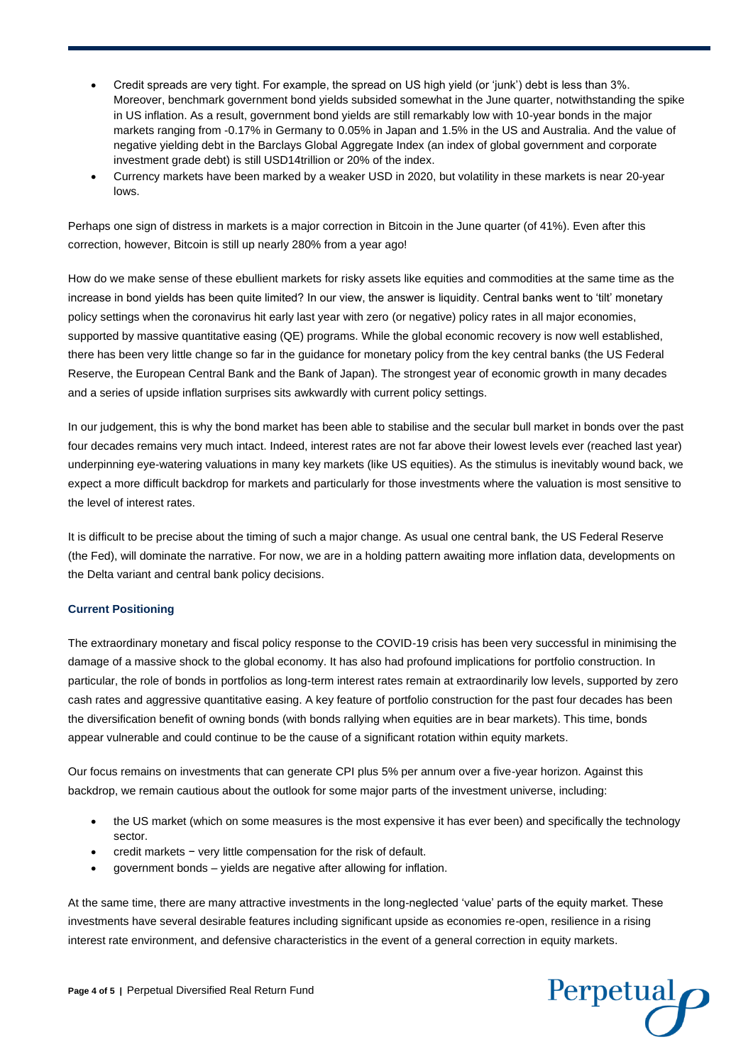- Credit spreads are very tight. For example, the spread on US high yield (or 'junk') debt is less than 3%. Moreover, benchmark government bond yields subsided somewhat in the June quarter, notwithstanding the spike in US inflation. As a result, government bond yields are still remarkably low with 10-year bonds in the major markets ranging from -0.17% in Germany to 0.05% in Japan and 1.5% in the US and Australia. And the value of negative yielding debt in the Barclays Global Aggregate Index (an index of global government and corporate investment grade debt) is still USD14trillion or 20% of the index.
- Currency markets have been marked by a weaker USD in 2020, but volatility in these markets is near 20-year lows.

Perhaps one sign of distress in markets is a major correction in Bitcoin in the June quarter (of 41%). Even after this correction, however, Bitcoin is still up nearly 280% from a year ago!

How do we make sense of these ebullient markets for risky assets like equities and commodities at the same time as the increase in bond yields has been quite limited? In our view, the answer is liquidity. Central banks went to 'tilt' monetary policy settings when the coronavirus hit early last year with zero (or negative) policy rates in all major economies, supported by massive quantitative easing (QE) programs. While the global economic recovery is now well established, there has been very little change so far in the guidance for monetary policy from the key central banks (the US Federal Reserve, the European Central Bank and the Bank of Japan). The strongest year of economic growth in many decades and a series of upside inflation surprises sits awkwardly with current policy settings.

In our judgement, this is why the bond market has been able to stabilise and the secular bull market in bonds over the past four decades remains very much intact. Indeed, interest rates are not far above their lowest levels ever (reached last year) underpinning eye-watering valuations in many key markets (like US equities). As the stimulus is inevitably wound back, we expect a more difficult backdrop for markets and particularly for those investments where the valuation is most sensitive to the level of interest rates.

It is difficult to be precise about the timing of such a major change. As usual one central bank, the US Federal Reserve (the Fed), will dominate the narrative. For now, we are in a holding pattern awaiting more inflation data, developments on the Delta variant and central bank policy decisions.

#### **Current Positioning**

The extraordinary monetary and fiscal policy response to the COVID-19 crisis has been very successful in minimising the damage of a massive shock to the global economy. It has also had profound implications for portfolio construction. In particular, the role of bonds in portfolios as long-term interest rates remain at extraordinarily low levels, supported by zero cash rates and aggressive quantitative easing. A key feature of portfolio construction for the past four decades has been the diversification benefit of owning bonds (with bonds rallying when equities are in bear markets). This time, bonds appear vulnerable and could continue to be the cause of a significant rotation within equity markets.

Our focus remains on investments that can generate CPI plus 5% per annum over a five-year horizon. Against this backdrop, we remain cautious about the outlook for some major parts of the investment universe, including:

- the US market (which on some measures is the most expensive it has ever been) and specifically the technology sector.
- credit markets − very little compensation for the risk of default.
- government bonds yields are negative after allowing for inflation.

At the same time, there are many attractive investments in the long-neglected 'value' parts of the equity market. These investments have several desirable features including significant upside as economies re-open, resilience in a rising interest rate environment, and defensive characteristics in the event of a general correction in equity markets.